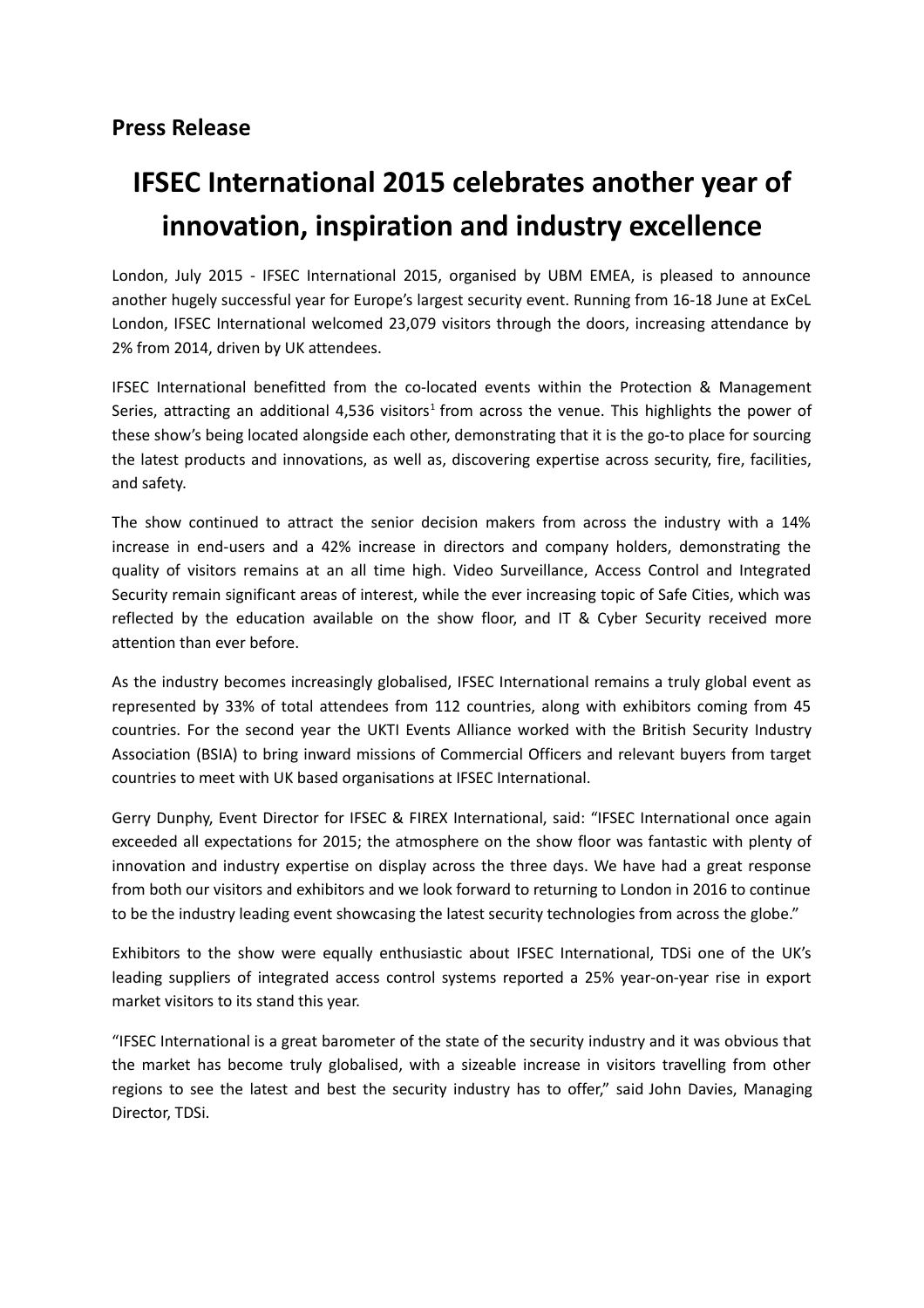## **IFSEC International 2015 celebrates another year of innovation, inspiration and industry excellence**

London, July 2015 - IFSEC International 2015, organised by UBM EMEA, is pleased to announce another hugely successful year for Europe's largest security event. Running from 16-18 June at ExCeL London, IFSEC International welcomed 23,079 visitors through the doors, increasing attendance by 2% from 2014, driven by UK attendees.

IFSEC International benefitted from the co-located events within the Protection & Management Series, attracting an additional 4,536 visitors<sup>1</sup> from across the venue. This highlights the power of these show's being located alongside each other, demonstrating that it is the go-to place for sourcing the latest products and innovations, as well as, discovering expertise across security, fire, facilities, and safety.

The show continued to attract the senior decision makers from across the industry with a 14% increase in end-users and a 42% increase in directors and company holders, demonstrating the quality of visitors remains at an all time high. Video Surveillance, Access Control and Integrated Security remain significant areas of interest, while the ever increasing topic of Safe Cities, which was reflected by the education available on the show floor, and IT & Cyber Security received more attention than ever before.

As the industry becomes increasingly globalised, IFSEC International remains a truly global event as represented by 33% of total attendees from 112 countries, along with exhibitors coming from 45 countries. For the second year the UKTI Events Alliance worked with the British Security Industry Association (BSIA) to bring inward missions of Commercial Officers and relevant buyers from target countries to meet with UK based organisations at IFSEC International.

Gerry Dunphy, Event Director for IFSEC & FIREX International, said: "IFSEC International once again exceeded all expectations for 2015; the atmosphere on the show floor was fantastic with plenty of innovation and industry expertise on display across the three days. We have had a great response from both our visitors and exhibitors and we look forward to returning to London in 2016 to continue to be the industry leading event showcasing the latest security technologies from across the globe."

Exhibitors to the show were equally enthusiastic about IFSEC International, TDSi one of the UK's leading suppliers of integrated access control systems reported a 25% year-on-year rise in export market visitors to its stand this year.

"IFSEC International is a great barometer of the state of the security industry and it was obvious that the market has become truly globalised, with a sizeable increase in visitors travelling from other regions to see the latest and best the security industry has to offer," said John Davies, Managing Director, TDSi.